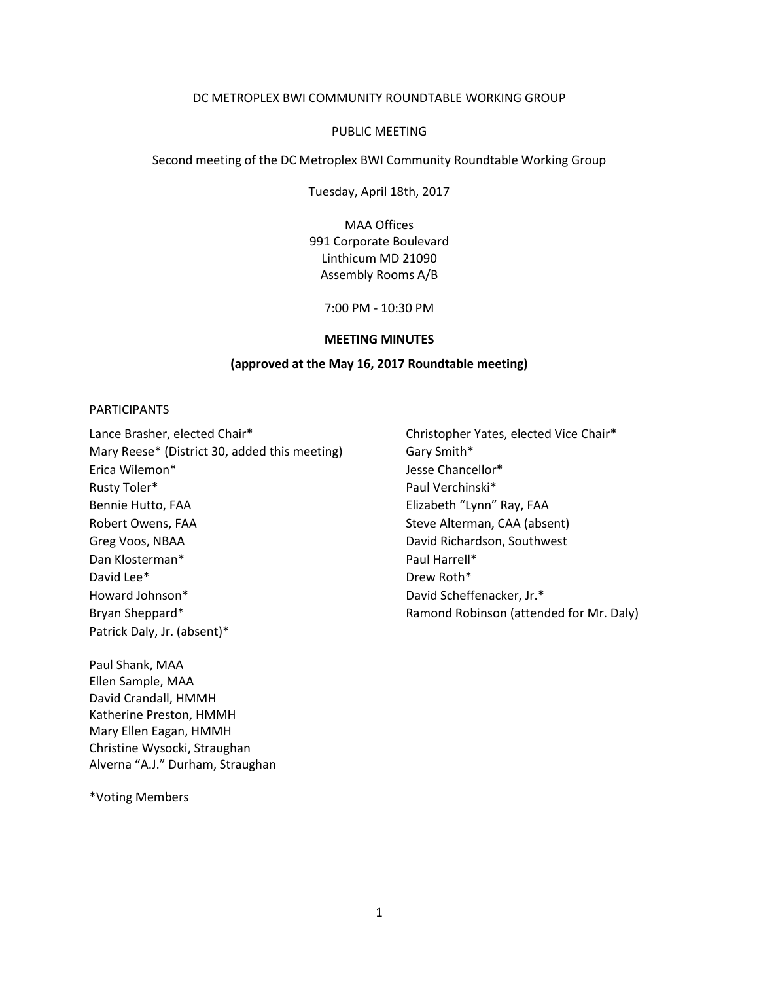#### DC METROPLEX BWI COMMUNITY ROUNDTABLE WORKING GROUP

#### PUBLIC MEETING

Second meeting of the DC Metroplex BWI Community Roundtable Working Group

Tuesday, April 18th, 2017

MAA Offices 991 Corporate Boulevard Linthicum MD 21090 Assembly Rooms A/B

7:00 PM - 10:30 PM

#### **MEETING MINUTES**

#### **(approved at the May 16, 2017 Roundtable meeting)**

#### PARTICIPANTS

Lance Brasher, elected Chair\* Christopher Yates, elected Vice Chair\* Mary Reese\* (District 30, added this meeting) Gary Smith\* Erica Wilemon\* **Friends** Jesse Chancellor\* Rusty Toler\* Paul Verchinski and Paul Verchinski and Paul Verchinski and Paul Verchinski and Paul Verchinski and Paul Verchinski and Paul Verchinski and Paul Verchinski and Paul Verchinski and Paul Verchinski and Paul Verc Bennie Hutto, FAA Elizabeth "Lynn" Ray, FAA Robert Owens, FAA Steve Alterman, CAA (absent) Greg Voos, NBAA David Richardson, Southwest Dan Klosterman\* Paul Harrell\* David Lee\* David Lee Drew Roth Assembly Drew Roth Assembly Drew Roth Assembly Howard Johnson\* David Scheffenacker, Jr.\* Bryan Sheppard\* **Ramond Robinson (attended for Mr. Daly)** Ramond Robinson (attended for Mr. Daly) Patrick Daly, Jr. (absent)\*

Paul Shank, MAA Ellen Sample, MAA David Crandall, HMMH Katherine Preston, HMMH Mary Ellen Eagan, HMMH Christine Wysocki, Straughan Alverna "A.J." Durham, Straughan

\*Voting Members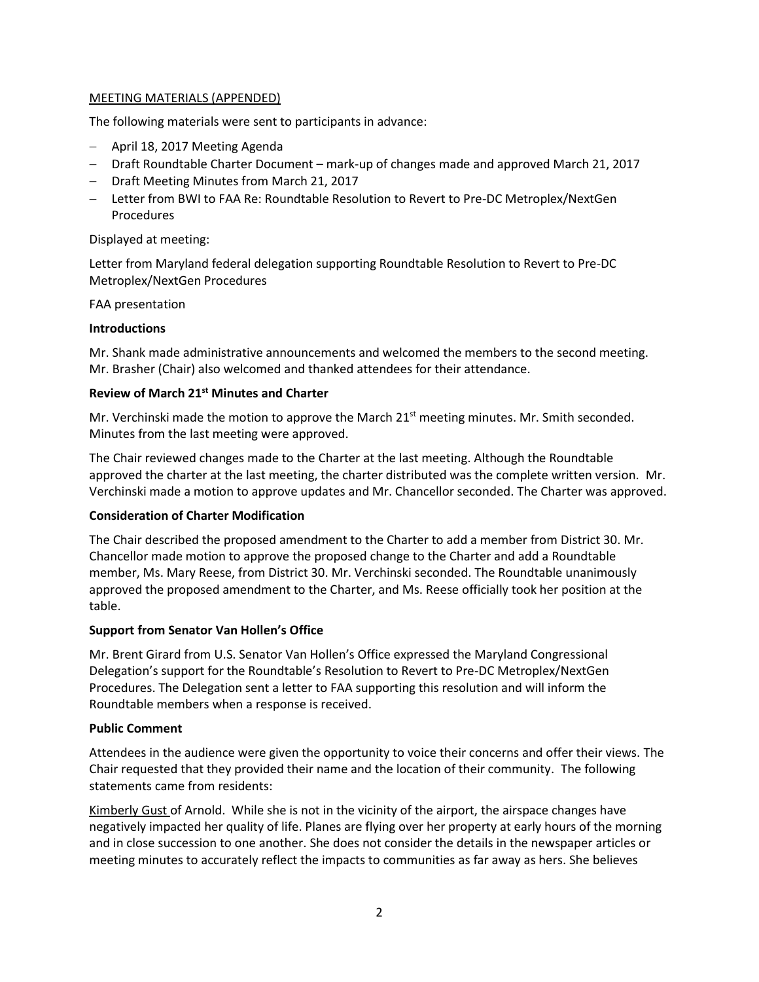# MEETING MATERIALS (APPENDED)

The following materials were sent to participants in advance:

- April 18, 2017 Meeting Agenda
- Draft Roundtable Charter Document mark-up of changes made and approved March 21, 2017
- Draft Meeting Minutes from March 21, 2017
- Letter from BWI to FAA Re: Roundtable Resolution to Revert to Pre-DC Metroplex/NextGen Procedures

## Displayed at meeting:

Letter from Maryland federal delegation supporting Roundtable Resolution to Revert to Pre-DC Metroplex/NextGen Procedures

## FAA presentation

## **Introductions**

Mr. Shank made administrative announcements and welcomed the members to the second meeting. Mr. Brasher (Chair) also welcomed and thanked attendees for their attendance.

## **Review of March 21st Minutes and Charter**

Mr. Verchinski made the motion to approve the March  $21<sup>st</sup>$  meeting minutes. Mr. Smith seconded. Minutes from the last meeting were approved.

The Chair reviewed changes made to the Charter at the last meeting. Although the Roundtable approved the charter at the last meeting, the charter distributed was the complete written version. Mr. Verchinski made a motion to approve updates and Mr. Chancellor seconded. The Charter was approved.

## **Consideration of Charter Modification**

The Chair described the proposed amendment to the Charter to add a member from District 30. Mr. Chancellor made motion to approve the proposed change to the Charter and add a Roundtable member, Ms. Mary Reese, from District 30. Mr. Verchinski seconded. The Roundtable unanimously approved the proposed amendment to the Charter, and Ms. Reese officially took her position at the table.

## **Support from Senator Van Hollen's Office**

Mr. Brent Girard from U.S. Senator Van Hollen's Office expressed the Maryland Congressional Delegation's support for the Roundtable's Resolution to Revert to Pre-DC Metroplex/NextGen Procedures. The Delegation sent a letter to FAA supporting this resolution and will inform the Roundtable members when a response is received.

## **Public Comment**

Attendees in the audience were given the opportunity to voice their concerns and offer their views. The Chair requested that they provided their name and the location of their community. The following statements came from residents:

Kimberly Gust of Arnold. While she is not in the vicinity of the airport, the airspace changes have negatively impacted her quality of life. Planes are flying over her property at early hours of the morning and in close succession to one another. She does not consider the details in the newspaper articles or meeting minutes to accurately reflect the impacts to communities as far away as hers. She believes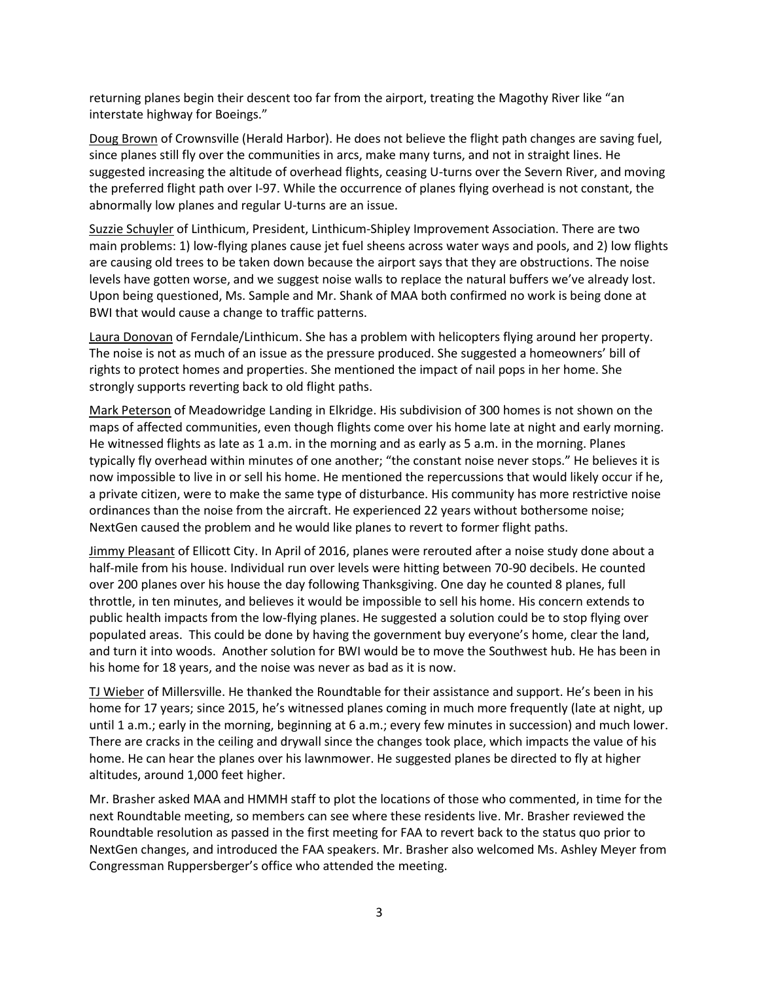returning planes begin their descent too far from the airport, treating the Magothy River like "an interstate highway for Boeings."

Doug Brown of Crownsville (Herald Harbor). He does not believe the flight path changes are saving fuel, since planes still fly over the communities in arcs, make many turns, and not in straight lines. He suggested increasing the altitude of overhead flights, ceasing U-turns over the Severn River, and moving the preferred flight path over I-97. While the occurrence of planes flying overhead is not constant, the abnormally low planes and regular U-turns are an issue.

Suzzie Schuyler of Linthicum, President, Linthicum-Shipley Improvement Association. There are two main problems: 1) low-flying planes cause jet fuel sheens across water ways and pools, and 2) low flights are causing old trees to be taken down because the airport says that they are obstructions. The noise levels have gotten worse, and we suggest noise walls to replace the natural buffers we've already lost. Upon being questioned, Ms. Sample and Mr. Shank of MAA both confirmed no work is being done at BWI that would cause a change to traffic patterns.

Laura Donovan of Ferndale/Linthicum. She has a problem with helicopters flying around her property. The noise is not as much of an issue as the pressure produced. She suggested a homeowners' bill of rights to protect homes and properties. She mentioned the impact of nail pops in her home. She strongly supports reverting back to old flight paths.

Mark Peterson of Meadowridge Landing in Elkridge. His subdivision of 300 homes is not shown on the maps of affected communities, even though flights come over his home late at night and early morning. He witnessed flights as late as 1 a.m. in the morning and as early as 5 a.m. in the morning. Planes typically fly overhead within minutes of one another; "the constant noise never stops." He believes it is now impossible to live in or sell his home. He mentioned the repercussions that would likely occur if he, a private citizen, were to make the same type of disturbance. His community has more restrictive noise ordinances than the noise from the aircraft. He experienced 22 years without bothersome noise; NextGen caused the problem and he would like planes to revert to former flight paths.

Jimmy Pleasant of Ellicott City. In April of 2016, planes were rerouted after a noise study done about a half-mile from his house. Individual run over levels were hitting between 70-90 decibels. He counted over 200 planes over his house the day following Thanksgiving. One day he counted 8 planes, full throttle, in ten minutes, and believes it would be impossible to sell his home. His concern extends to public health impacts from the low-flying planes. He suggested a solution could be to stop flying over populated areas. This could be done by having the government buy everyone's home, clear the land, and turn it into woods. Another solution for BWI would be to move the Southwest hub. He has been in his home for 18 years, and the noise was never as bad as it is now.

TJ Wieber of Millersville. He thanked the Roundtable for their assistance and support. He's been in his home for 17 years; since 2015, he's witnessed planes coming in much more frequently (late at night, up until 1 a.m.; early in the morning, beginning at 6 a.m.; every few minutes in succession) and much lower. There are cracks in the ceiling and drywall since the changes took place, which impacts the value of his home. He can hear the planes over his lawnmower. He suggested planes be directed to fly at higher altitudes, around 1,000 feet higher.

Mr. Brasher asked MAA and HMMH staff to plot the locations of those who commented, in time for the next Roundtable meeting, so members can see where these residents live. Mr. Brasher reviewed the Roundtable resolution as passed in the first meeting for FAA to revert back to the status quo prior to NextGen changes, and introduced the FAA speakers. Mr. Brasher also welcomed Ms. Ashley Meyer from Congressman Ruppersberger's office who attended the meeting.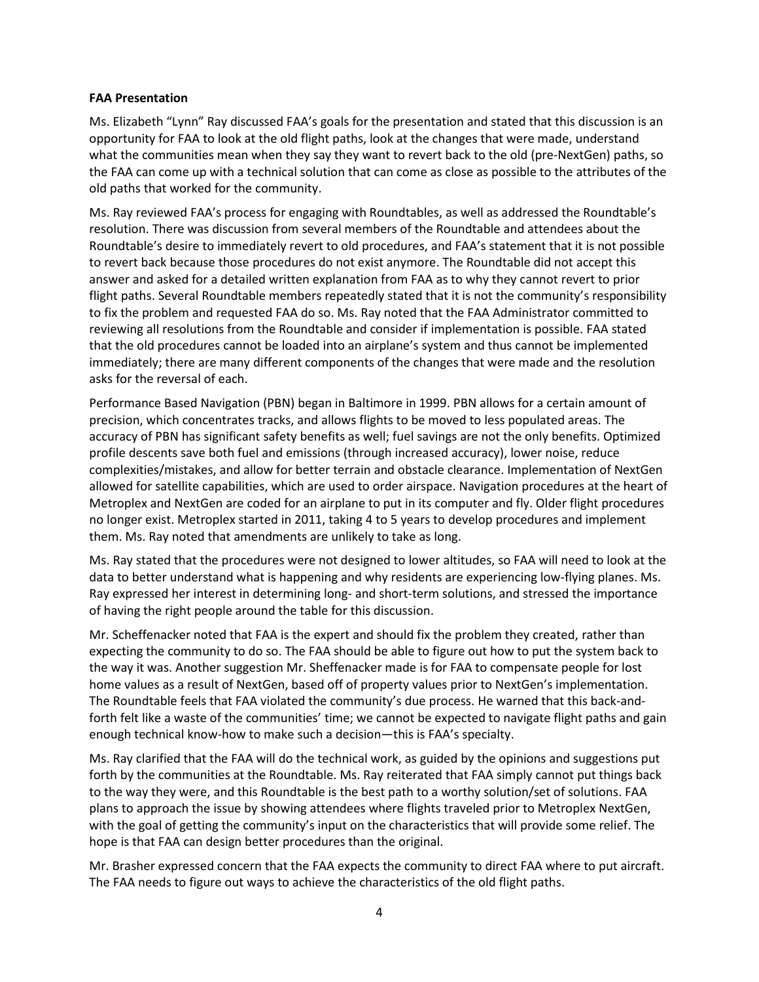#### **FAA Presentation**

Ms. Elizabeth "Lynn" Ray discussed FAA's goals for the presentation and stated that this discussion is an opportunity for FAA to look at the old flight paths, look at the changes that were made, understand what the communities mean when they say they want to revert back to the old (pre-NextGen) paths, so the FAA can come up with a technical solution that can come as close as possible to the attributes of the old paths that worked for the community.

Ms. Ray reviewed FAA's process for engaging with Roundtables, as well as addressed the Roundtable's resolution. There was discussion from several members of the Roundtable and attendees about the Roundtable's desire to immediately revert to old procedures, and FAA's statement that it is not possible to revert back because those procedures do not exist anymore. The Roundtable did not accept this answer and asked for a detailed written explanation from FAA as to why they cannot revert to prior flight paths. Several Roundtable members repeatedly stated that it is not the community's responsibility to fix the problem and requested FAA do so. Ms. Ray noted that the FAA Administrator committed to reviewing all resolutions from the Roundtable and consider if implementation is possible. FAA stated that the old procedures cannot be loaded into an airplane's system and thus cannot be implemented immediately; there are many different components of the changes that were made and the resolution asks for the reversal of each.

Performance Based Navigation (PBN) began in Baltimore in 1999. PBN allows for a certain amount of precision, which concentrates tracks, and allows flights to be moved to less populated areas. The accuracy of PBN has significant safety benefits as well; fuel savings are not the only benefits. Optimized profile descents save both fuel and emissions (through increased accuracy), lower noise, reduce complexities/mistakes, and allow for better terrain and obstacle clearance. Implementation of NextGen allowed for satellite capabilities, which are used to order airspace. Navigation procedures at the heart of Metroplex and NextGen are coded for an airplane to put in its computer and fly. Older flight procedures no longer exist. Metroplex started in 2011, taking 4 to 5 years to develop procedures and implement them. Ms. Ray noted that amendments are unlikely to take as long.

Ms. Ray stated that the procedures were not designed to lower altitudes, so FAA will need to look at the data to better understand what is happening and why residents are experiencing low-flying planes. Ms. Ray expressed her interest in determining long- and short-term solutions, and stressed the importance of having the right people around the table for this discussion.

Mr. Scheffenacker noted that FAA is the expert and should fix the problem they created, rather than expecting the community to do so. The FAA should be able to figure out how to put the system back to the way it was. Another suggestion Mr. Sheffenacker made is for FAA to compensate people for lost home values as a result of NextGen, based off of property values prior to NextGen's implementation. The Roundtable feels that FAA violated the community's due process. He warned that this back-andforth felt like a waste of the communities' time; we cannot be expected to navigate flight paths and gain enough technical know-how to make such a decision—this is FAA's specialty.

Ms. Ray clarified that the FAA will do the technical work, as guided by the opinions and suggestions put forth by the communities at the Roundtable. Ms. Ray reiterated that FAA simply cannot put things back to the way they were, and this Roundtable is the best path to a worthy solution/set of solutions. FAA plans to approach the issue by showing attendees where flights traveled prior to Metroplex NextGen, with the goal of getting the community's input on the characteristics that will provide some relief. The hope is that FAA can design better procedures than the original.

Mr. Brasher expressed concern that the FAA expects the community to direct FAA where to put aircraft. The FAA needs to figure out ways to achieve the characteristics of the old flight paths.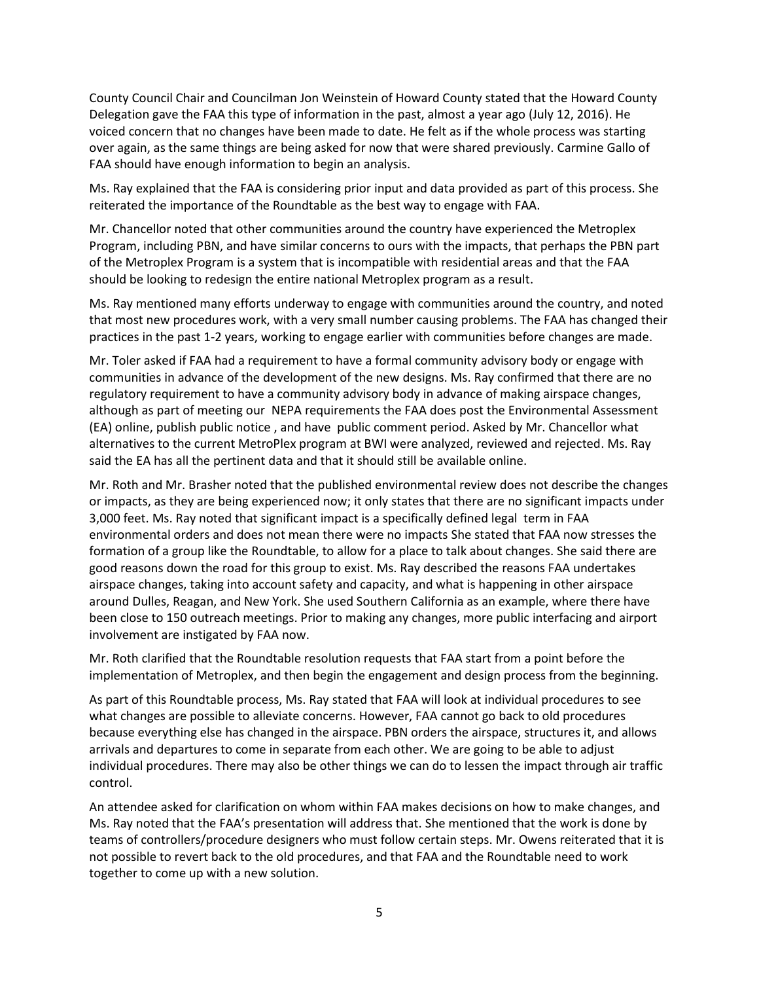County Council Chair and Councilman Jon Weinstein of Howard County stated that the Howard County Delegation gave the FAA this type of information in the past, almost a year ago (July 12, 2016). He voiced concern that no changes have been made to date. He felt as if the whole process was starting over again, as the same things are being asked for now that were shared previously. Carmine Gallo of FAA should have enough information to begin an analysis.

Ms. Ray explained that the FAA is considering prior input and data provided as part of this process. She reiterated the importance of the Roundtable as the best way to engage with FAA.

Mr. Chancellor noted that other communities around the country have experienced the Metroplex Program, including PBN, and have similar concerns to ours with the impacts, that perhaps the PBN part of the Metroplex Program is a system that is incompatible with residential areas and that the FAA should be looking to redesign the entire national Metroplex program as a result.

Ms. Ray mentioned many efforts underway to engage with communities around the country, and noted that most new procedures work, with a very small number causing problems. The FAA has changed their practices in the past 1-2 years, working to engage earlier with communities before changes are made.

Mr. Toler asked if FAA had a requirement to have a formal community advisory body or engage with communities in advance of the development of the new designs. Ms. Ray confirmed that there are no regulatory requirement to have a community advisory body in advance of making airspace changes, although as part of meeting our NEPA requirements the FAA does post the Environmental Assessment (EA) online, publish public notice , and have public comment period. Asked by Mr. Chancellor what alternatives to the current MetroPlex program at BWI were analyzed, reviewed and rejected. Ms. Ray said the EA has all the pertinent data and that it should still be available online.

Mr. Roth and Mr. Brasher noted that the published environmental review does not describe the changes or impacts, as they are being experienced now; it only states that there are no significant impacts under 3,000 feet. Ms. Ray noted that significant impact is a specifically defined legal term in FAA environmental orders and does not mean there were no impacts She stated that FAA now stresses the formation of a group like the Roundtable, to allow for a place to talk about changes. She said there are good reasons down the road for this group to exist. Ms. Ray described the reasons FAA undertakes airspace changes, taking into account safety and capacity, and what is happening in other airspace around Dulles, Reagan, and New York. She used Southern California as an example, where there have been close to 150 outreach meetings. Prior to making any changes, more public interfacing and airport involvement are instigated by FAA now.

Mr. Roth clarified that the Roundtable resolution requests that FAA start from a point before the implementation of Metroplex, and then begin the engagement and design process from the beginning.

As part of this Roundtable process, Ms. Ray stated that FAA will look at individual procedures to see what changes are possible to alleviate concerns. However, FAA cannot go back to old procedures because everything else has changed in the airspace. PBN orders the airspace, structures it, and allows arrivals and departures to come in separate from each other. We are going to be able to adjust individual procedures. There may also be other things we can do to lessen the impact through air traffic control.

An attendee asked for clarification on whom within FAA makes decisions on how to make changes, and Ms. Ray noted that the FAA's presentation will address that. She mentioned that the work is done by teams of controllers/procedure designers who must follow certain steps. Mr. Owens reiterated that it is not possible to revert back to the old procedures, and that FAA and the Roundtable need to work together to come up with a new solution.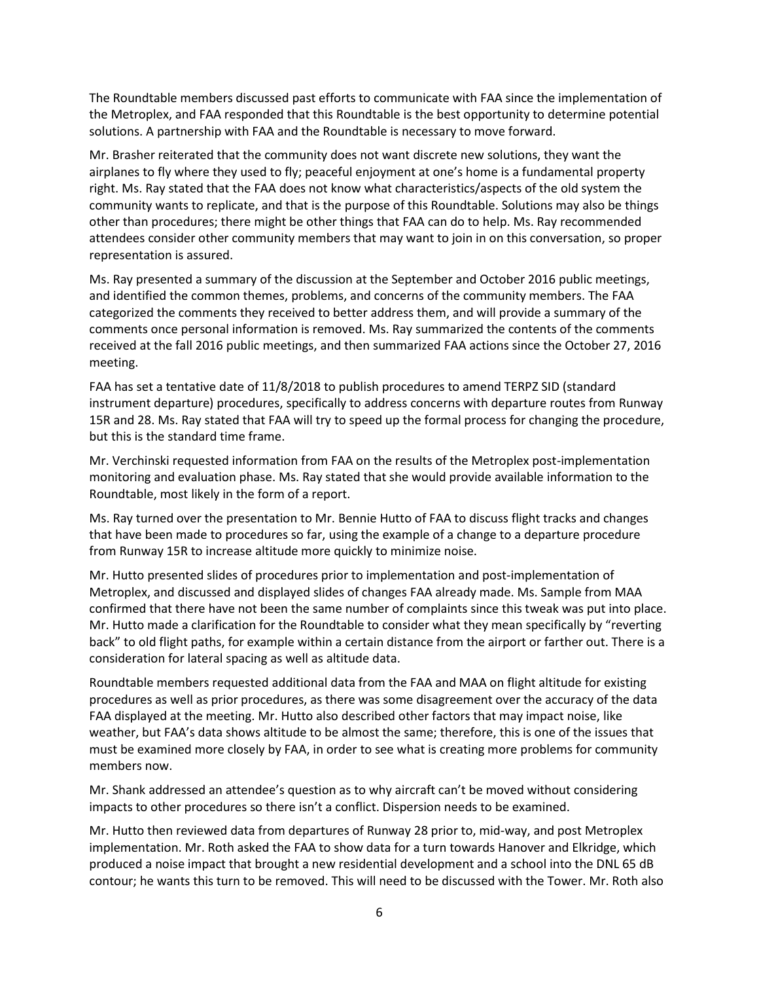The Roundtable members discussed past efforts to communicate with FAA since the implementation of the Metroplex, and FAA responded that this Roundtable is the best opportunity to determine potential solutions. A partnership with FAA and the Roundtable is necessary to move forward.

Mr. Brasher reiterated that the community does not want discrete new solutions, they want the airplanes to fly where they used to fly; peaceful enjoyment at one's home is a fundamental property right. Ms. Ray stated that the FAA does not know what characteristics/aspects of the old system the community wants to replicate, and that is the purpose of this Roundtable. Solutions may also be things other than procedures; there might be other things that FAA can do to help. Ms. Ray recommended attendees consider other community members that may want to join in on this conversation, so proper representation is assured.

Ms. Ray presented a summary of the discussion at the September and October 2016 public meetings, and identified the common themes, problems, and concerns of the community members. The FAA categorized the comments they received to better address them, and will provide a summary of the comments once personal information is removed. Ms. Ray summarized the contents of the comments received at the fall 2016 public meetings, and then summarized FAA actions since the October 27, 2016 meeting.

FAA has set a tentative date of 11/8/2018 to publish procedures to amend TERPZ SID (standard instrument departure) procedures, specifically to address concerns with departure routes from Runway 15R and 28. Ms. Ray stated that FAA will try to speed up the formal process for changing the procedure, but this is the standard time frame.

Mr. Verchinski requested information from FAA on the results of the Metroplex post-implementation monitoring and evaluation phase. Ms. Ray stated that she would provide available information to the Roundtable, most likely in the form of a report.

Ms. Ray turned over the presentation to Mr. Bennie Hutto of FAA to discuss flight tracks and changes that have been made to procedures so far, using the example of a change to a departure procedure from Runway 15R to increase altitude more quickly to minimize noise.

Mr. Hutto presented slides of procedures prior to implementation and post-implementation of Metroplex, and discussed and displayed slides of changes FAA already made. Ms. Sample from MAA confirmed that there have not been the same number of complaints since this tweak was put into place. Mr. Hutto made a clarification for the Roundtable to consider what they mean specifically by "reverting back" to old flight paths, for example within a certain distance from the airport or farther out. There is a consideration for lateral spacing as well as altitude data.

Roundtable members requested additional data from the FAA and MAA on flight altitude for existing procedures as well as prior procedures, as there was some disagreement over the accuracy of the data FAA displayed at the meeting. Mr. Hutto also described other factors that may impact noise, like weather, but FAA's data shows altitude to be almost the same; therefore, this is one of the issues that must be examined more closely by FAA, in order to see what is creating more problems for community members now.

Mr. Shank addressed an attendee's question as to why aircraft can't be moved without considering impacts to other procedures so there isn't a conflict. Dispersion needs to be examined.

Mr. Hutto then reviewed data from departures of Runway 28 prior to, mid-way, and post Metroplex implementation. Mr. Roth asked the FAA to show data for a turn towards Hanover and Elkridge, which produced a noise impact that brought a new residential development and a school into the DNL 65 dB contour; he wants this turn to be removed. This will need to be discussed with the Tower. Mr. Roth also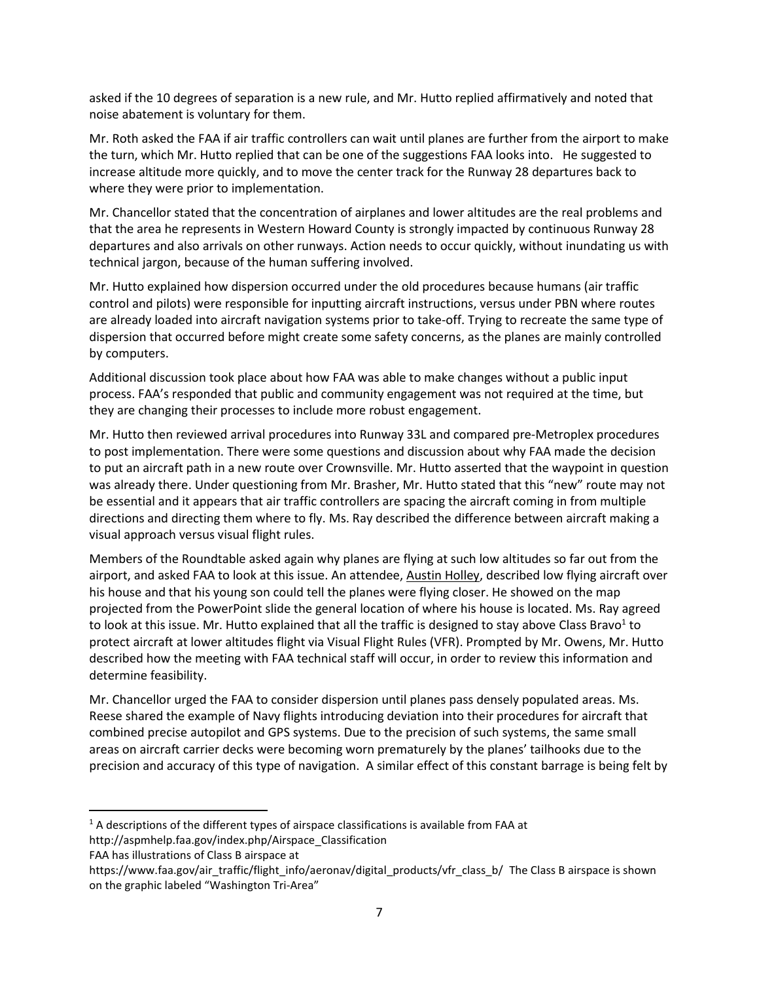asked if the 10 degrees of separation is a new rule, and Mr. Hutto replied affirmatively and noted that noise abatement is voluntary for them.

Mr. Roth asked the FAA if air traffic controllers can wait until planes are further from the airport to make the turn, which Mr. Hutto replied that can be one of the suggestions FAA looks into. He suggested to increase altitude more quickly, and to move the center track for the Runway 28 departures back to where they were prior to implementation.

Mr. Chancellor stated that the concentration of airplanes and lower altitudes are the real problems and that the area he represents in Western Howard County is strongly impacted by continuous Runway 28 departures and also arrivals on other runways. Action needs to occur quickly, without inundating us with technical jargon, because of the human suffering involved.

Mr. Hutto explained how dispersion occurred under the old procedures because humans (air traffic control and pilots) were responsible for inputting aircraft instructions, versus under PBN where routes are already loaded into aircraft navigation systems prior to take-off. Trying to recreate the same type of dispersion that occurred before might create some safety concerns, as the planes are mainly controlled by computers.

Additional discussion took place about how FAA was able to make changes without a public input process. FAA's responded that public and community engagement was not required at the time, but they are changing their processes to include more robust engagement.

Mr. Hutto then reviewed arrival procedures into Runway 33L and compared pre-Metroplex procedures to post implementation. There were some questions and discussion about why FAA made the decision to put an aircraft path in a new route over Crownsville. Mr. Hutto asserted that the waypoint in question was already there. Under questioning from Mr. Brasher, Mr. Hutto stated that this "new" route may not be essential and it appears that air traffic controllers are spacing the aircraft coming in from multiple directions and directing them where to fly. Ms. Ray described the difference between aircraft making a visual approach versus visual flight rules.

Members of the Roundtable asked again why planes are flying at such low altitudes so far out from the airport, and asked FAA to look at this issue. An attendee, Austin Holley, described low flying aircraft over his house and that his young son could tell the planes were flying closer. He showed on the map projected from the PowerPoint slide the general location of where his house is located. Ms. Ray agreed to look at this issue. Mr. Hutto explained that all the traffic is designed to stay above Class Bravo<sup>1</sup> to protect aircraft at lower altitudes flight via Visual Flight Rules (VFR). Prompted by Mr. Owens, Mr. Hutto described how the meeting with FAA technical staff will occur, in order to review this information and determine feasibility.

Mr. Chancellor urged the FAA to consider dispersion until planes pass densely populated areas. Ms. Reese shared the example of Navy flights introducing deviation into their procedures for aircraft that combined precise autopilot and GPS systems. Due to the precision of such systems, the same small areas on aircraft carrier decks were becoming worn prematurely by the planes' tailhooks due to the precision and accuracy of this type of navigation. A similar effect of this constant barrage is being felt by

FAA has illustrations of Class B airspace at

 $\overline{\phantom{a}}$ 

 $<sup>1</sup>$  A descriptions of the different types of airspace classifications is available from FAA at</sup>

http://aspmhelp.faa.gov/index.php/Airspace\_Classification

https://www.faa.gov/air\_traffic/flight\_info/aeronav/digital\_products/vfr\_class\_b/\_The Class B airspace is shown on the graphic labeled "Washington Tri-Area"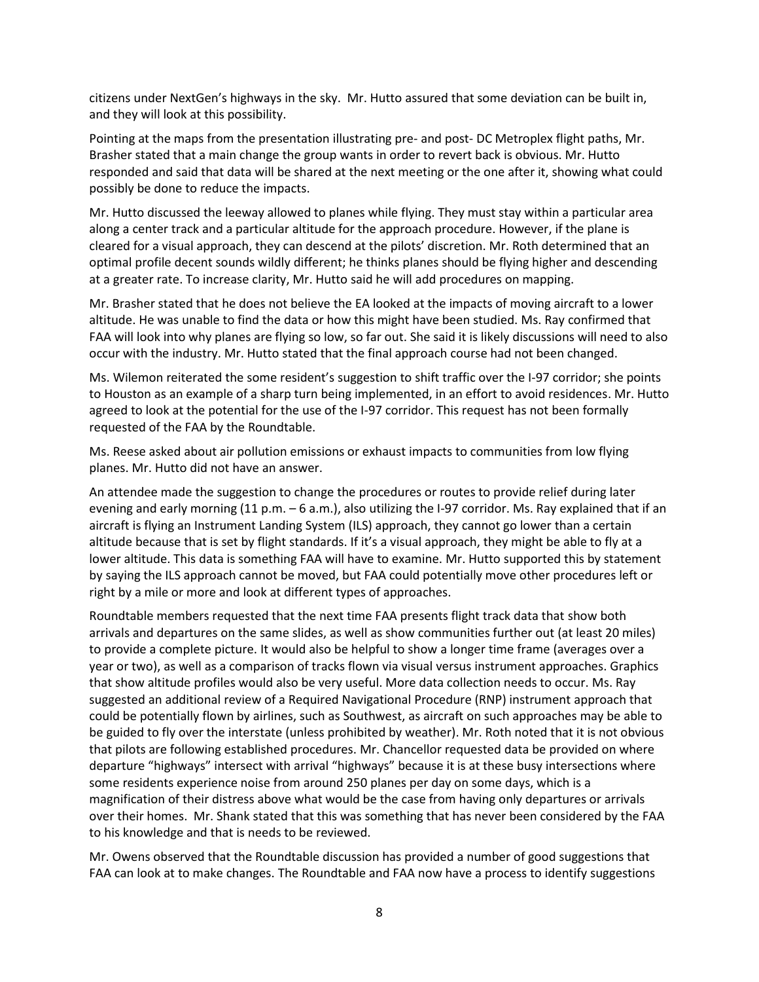citizens under NextGen's highways in the sky. Mr. Hutto assured that some deviation can be built in, and they will look at this possibility.

Pointing at the maps from the presentation illustrating pre- and post- DC Metroplex flight paths, Mr. Brasher stated that a main change the group wants in order to revert back is obvious. Mr. Hutto responded and said that data will be shared at the next meeting or the one after it, showing what could possibly be done to reduce the impacts.

Mr. Hutto discussed the leeway allowed to planes while flying. They must stay within a particular area along a center track and a particular altitude for the approach procedure. However, if the plane is cleared for a visual approach, they can descend at the pilots' discretion. Mr. Roth determined that an optimal profile decent sounds wildly different; he thinks planes should be flying higher and descending at a greater rate. To increase clarity, Mr. Hutto said he will add procedures on mapping.

Mr. Brasher stated that he does not believe the EA looked at the impacts of moving aircraft to a lower altitude. He was unable to find the data or how this might have been studied. Ms. Ray confirmed that FAA will look into why planes are flying so low, so far out. She said it is likely discussions will need to also occur with the industry. Mr. Hutto stated that the final approach course had not been changed.

Ms. Wilemon reiterated the some resident's suggestion to shift traffic over the I-97 corridor; she points to Houston as an example of a sharp turn being implemented, in an effort to avoid residences. Mr. Hutto agreed to look at the potential for the use of the I-97 corridor. This request has not been formally requested of the FAA by the Roundtable.

Ms. Reese asked about air pollution emissions or exhaust impacts to communities from low flying planes. Mr. Hutto did not have an answer.

An attendee made the suggestion to change the procedures or routes to provide relief during later evening and early morning (11 p.m. – 6 a.m.), also utilizing the I-97 corridor. Ms. Ray explained that if an aircraft is flying an Instrument Landing System (ILS) approach, they cannot go lower than a certain altitude because that is set by flight standards. If it's a visual approach, they might be able to fly at a lower altitude. This data is something FAA will have to examine. Mr. Hutto supported this by statement by saying the ILS approach cannot be moved, but FAA could potentially move other procedures left or right by a mile or more and look at different types of approaches.

Roundtable members requested that the next time FAA presents flight track data that show both arrivals and departures on the same slides, as well as show communities further out (at least 20 miles) to provide a complete picture. It would also be helpful to show a longer time frame (averages over a year or two), as well as a comparison of tracks flown via visual versus instrument approaches. Graphics that show altitude profiles would also be very useful. More data collection needs to occur. Ms. Ray suggested an additional review of a Required Navigational Procedure (RNP) instrument approach that could be potentially flown by airlines, such as Southwest, as aircraft on such approaches may be able to be guided to fly over the interstate (unless prohibited by weather). Mr. Roth noted that it is not obvious that pilots are following established procedures. Mr. Chancellor requested data be provided on where departure "highways" intersect with arrival "highways" because it is at these busy intersections where some residents experience noise from around 250 planes per day on some days, which is a magnification of their distress above what would be the case from having only departures or arrivals over their homes. Mr. Shank stated that this was something that has never been considered by the FAA to his knowledge and that is needs to be reviewed.

Mr. Owens observed that the Roundtable discussion has provided a number of good suggestions that FAA can look at to make changes. The Roundtable and FAA now have a process to identify suggestions